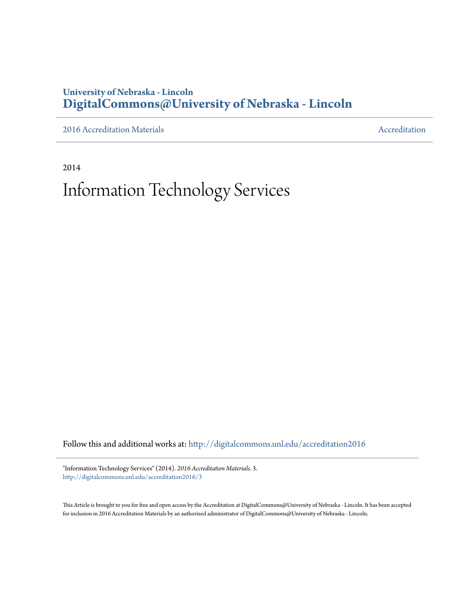#### **University of Nebraska - Lincoln [DigitalCommons@University of Nebraska - Lincoln](http://digitalcommons.unl.edu?utm_source=digitalcommons.unl.edu%2Faccreditation2016%2F3&utm_medium=PDF&utm_campaign=PDFCoverPages)**

[2016 Accreditation Materials](http://digitalcommons.unl.edu/accreditation2016?utm_source=digitalcommons.unl.edu%2Faccreditation2016%2F3&utm_medium=PDF&utm_campaign=PDFCoverPages) **[Accreditation](http://digitalcommons.unl.edu/accreditation?utm_source=digitalcommons.unl.edu%2Faccreditation2016%2F3&utm_medium=PDF&utm_campaign=PDFCoverPages) Materials** Accreditation Accreditation

2014

# Information Technology Services

Follow this and additional works at: [http://digitalcommons.unl.edu/accreditation2016](http://digitalcommons.unl.edu/accreditation2016?utm_source=digitalcommons.unl.edu%2Faccreditation2016%2F3&utm_medium=PDF&utm_campaign=PDFCoverPages)

"Information Technology Services" (2014). *2016 Accreditation Materials*. 3. [http://digitalcommons.unl.edu/accreditation2016/3](http://digitalcommons.unl.edu/accreditation2016/3?utm_source=digitalcommons.unl.edu%2Faccreditation2016%2F3&utm_medium=PDF&utm_campaign=PDFCoverPages)

This Article is brought to you for free and open access by the Accreditation at DigitalCommons@University of Nebraska - Lincoln. It has been accepted for inclusion in 2016 Accreditation Materials by an authorized administrator of DigitalCommons@University of Nebraska - Lincoln.